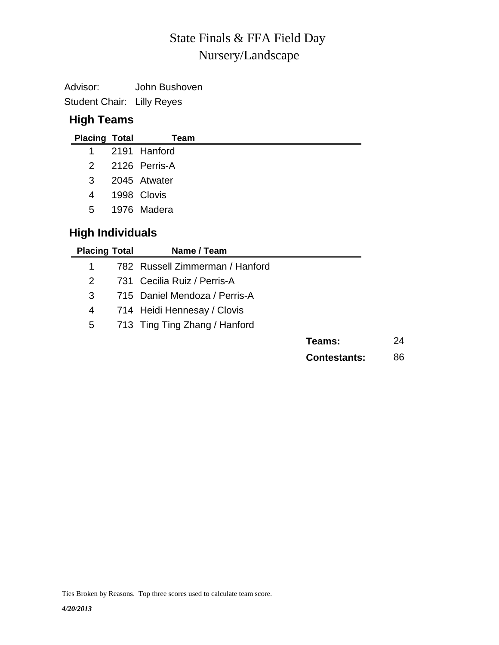# Nursery/Landscape State Finals & FFA Field Day

Advisor: John Bushoven

Student Chair: Lilly Reyes

## **High Teams**

| <b>Placing Total</b> | Team            |  |
|----------------------|-----------------|--|
|                      | 1 2191 Hanford  |  |
|                      | 2 2126 Perris-A |  |
| $3^{\circ}$          | 2045 Atwater    |  |
| 4                    | 1998 Clovis     |  |
| $5^{\circ}$          | 1976 Madera     |  |
|                      |                 |  |

# **High Individuals**

| <b>Placing Total</b> | Name / Team                     |                     |    |
|----------------------|---------------------------------|---------------------|----|
| 1                    | 782 Russell Zimmerman / Hanford |                     |    |
| 2                    | 731 Cecilia Ruiz / Perris-A     |                     |    |
| 3                    | 715 Daniel Mendoza / Perris-A   |                     |    |
| 4                    | 714 Heidi Hennesay / Clovis     |                     |    |
| 5                    | 713 Ting Ting Zhang / Hanford   |                     |    |
|                      |                                 | Teams:              | 24 |
|                      |                                 | <b>Contestants:</b> | 86 |

Ties Broken by Reasons. Top three scores used to calculate team score.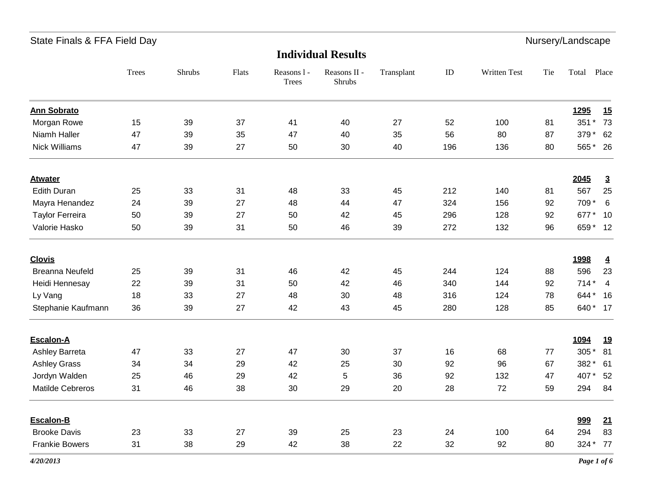| <b>Individual Results</b> |
|---------------------------|
|---------------------------|

|                        | Trees | Shrubs | Flats | Reasons 1 -<br><b>Trees</b> | Reasons II -<br>Shrubs | Transplant | $\rm ID$ | Written Test | Tie | Total    | Place                   |
|------------------------|-------|--------|-------|-----------------------------|------------------------|------------|----------|--------------|-----|----------|-------------------------|
| <b>Ann Sobrato</b>     |       |        |       |                             |                        |            |          |              |     | 1295     | 15                      |
| Morgan Rowe            | 15    | 39     | 37    | 41                          | 40                     | 27         | 52       | 100          | 81  | 351 *    | 73                      |
| Niamh Haller           | 47    | 39     | 35    | 47                          | 40                     | 35         | 56       | 80           | 87  | 379 *    | 62                      |
| <b>Nick Williams</b>   | 47    | 39     | 27    | 50                          | 30                     | 40         | 196      | 136          | 80  | 565*     | 26                      |
| <b>Atwater</b>         |       |        |       |                             |                        |            |          |              |     | 2045     | $\overline{3}$          |
| <b>Edith Duran</b>     | 25    | 33     | 31    | 48                          | 33                     | 45         | 212      | 140          | 81  | 567      | 25                      |
| Mayra Henandez         | 24    | 39     | 27    | 48                          | 44                     | 47         | 324      | 156          | 92  | 709 *    | 6                       |
| <b>Taylor Ferreira</b> | 50    | 39     | 27    | 50                          | 42                     | 45         | 296      | 128          | 92  | 677*     | 10                      |
| Valorie Hasko          | 50    | 39     | 31    | 50                          | 46                     | 39         | 272      | 132          | 96  | 659 * 12 |                         |
| <b>Clovis</b>          |       |        |       |                             |                        |            |          |              |     | 1998     | $\overline{\mathbf{4}}$ |
| <b>Breanna Neufeld</b> | 25    | 39     | 31    | 46                          | 42                     | 45         | 244      | 124          | 88  | 596      | 23                      |
| Heidi Hennesay         | 22    | 39     | 31    | 50                          | 42                     | 46         | 340      | 144          | 92  | $714*$   | $\overline{4}$          |
| Ly Vang                | 18    | 33     | 27    | 48                          | 30                     | 48         | 316      | 124          | 78  | 644*     | 16                      |
| Stephanie Kaufmann     | 36    | 39     | 27    | 42                          | 43                     | 45         | 280      | 128          | 85  | 640 * 17 |                         |
| Escalon-A              |       |        |       |                             |                        |            |          |              |     | 1094     | <u>19</u>               |
| Ashley Barreta         | 47    | 33     | 27    | 47                          | 30                     | 37         | 16       | 68           | 77  | 305 *    | 81                      |
| <b>Ashley Grass</b>    | 34    | 34     | 29    | 42                          | 25                     | 30         | 92       | 96           | 67  | 382 *    | 61                      |
| Jordyn Walden          | 25    | 46     | 29    | 42                          | 5                      | 36         | 92       | 132          | 47  | 407*     | 52                      |
| Matilde Cebreros       | 31    | 46     | 38    | 30                          | 29                     | 20         | 28       | 72           | 59  | 294      | 84                      |
| Escalon-B              |       |        |       |                             |                        |            |          |              |     | 999      | 21                      |
| <b>Brooke Davis</b>    | 23    | 33     | 27    | 39                          | 25                     | 23         | 24       | 100          | 64  | 294      | 83                      |
| <b>Frankie Bowers</b>  | 31    | 38     | 29    | 42                          | 38                     | 22         | 32       | 92           | 80  | 324 *    | 77                      |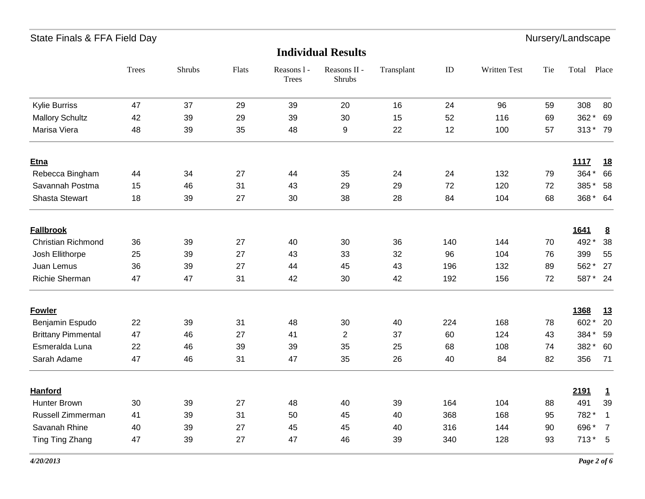|                           | Trees | Shrubs | Flats | Reasons 1 -<br>Trees | Reasons II -<br>Shrubs | Transplant | $\rm ID$ | Written Test | Tie | Total    | Place          |
|---------------------------|-------|--------|-------|----------------------|------------------------|------------|----------|--------------|-----|----------|----------------|
| Kylie Burriss             | 47    | 37     | 29    | 39                   | 20                     | 16         | 24       | 96           | 59  | 308      | 80             |
| <b>Mallory Schultz</b>    | 42    | 39     | 29    | 39                   | 30                     | 15         | 52       | 116          | 69  | 362*     | 69             |
| Marisa Viera              | 48    | 39     | 35    | 48                   | 9                      | 22         | 12       | 100          | 57  | 313* 79  |                |
| <b>Etna</b>               |       |        |       |                      |                        |            |          |              |     | 1117     | <u>18</u>      |
| Rebecca Bingham           | 44    | 34     | 27    | 44                   | 35                     | 24         | 24       | 132          | 79  | 364*     | 66             |
| Savannah Postma           | 15    | 46     | 31    | 43                   | 29                     | 29         | 72       | 120          | 72  | 385*     | 58             |
| <b>Shasta Stewart</b>     | 18    | 39     | 27    | 30                   | 38                     | 28         | 84       | 104          | 68  | 368 *    | 64             |
| <b>Fallbrook</b>          |       |        |       |                      |                        |            |          |              |     | 1641     | 8              |
| <b>Christian Richmond</b> | 36    | 39     | 27    | 40                   | 30                     | 36         | 140      | 144          | 70  | 492 *    | 38             |
| Josh Ellithorpe           | 25    | 39     | 27    | 43                   | 33                     | 32         | 96       | 104          | 76  | 399      | 55             |
| Juan Lemus                | 36    | 39     | 27    | 44                   | 45                     | 43         | 196      | 132          | 89  | 562*     | 27             |
| <b>Richie Sherman</b>     | 47    | 47     | 31    | 42                   | 30                     | 42         | 192      | 156          | 72  | 587 * 24 |                |
| <b>Fowler</b>             |       |        |       |                      |                        |            |          |              |     | 1368     | 13             |
| Benjamin Espudo           | 22    | 39     | 31    | 48                   | 30                     | 40         | 224      | 168          | 78  | 602*     | 20             |
| <b>Brittany Pimmental</b> | 47    | 46     | 27    | 41                   | $\overline{c}$         | 37         | 60       | 124          | 43  | 384 *    | 59             |
| Esmeralda Luna            | 22    | 46     | 39    | 39                   | 35                     | 25         | 68       | 108          | 74  | 382*     | 60             |
| Sarah Adame               | 47    | 46     | 31    | 47                   | 35                     | 26         | 40       | 84           | 82  | 356      | 71             |
| <b>Hanford</b>            |       |        |       |                      |                        |            |          |              |     | 2191     | $\mathbf{1}$   |
| <b>Hunter Brown</b>       | 30    | 39     | 27    | 48                   | 40                     | 39         | 164      | 104          | 88  | 491      | 39             |
| Russell Zimmerman         | 41    | 39     | 31    | 50                   | 45                     | 40         | 368      | 168          | 95  | 782*     | $\overline{1}$ |
| Savanah Rhine             | 40    | 39     | 27    | 45                   | 45                     | 40         | 316      | 144          | 90  | 696*     | $\overline{7}$ |
| Ting Ting Zhang           | 47    | 39     | 27    | 47                   | 46                     | 39         | 340      | 128          | 93  | $713*$   | $-5$           |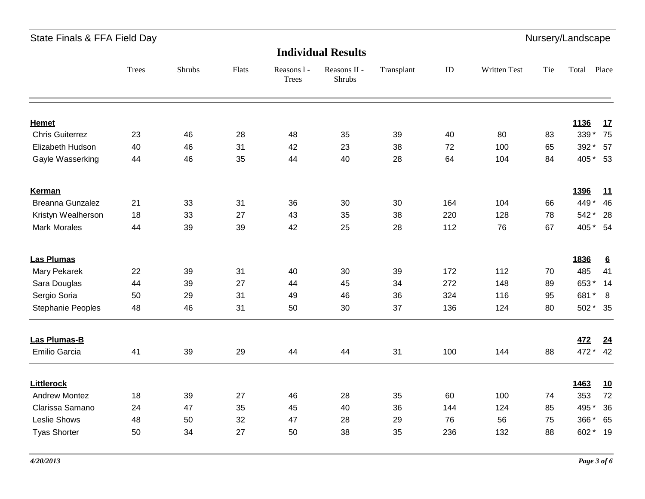**Individual Results**

|                                      | <b>Trees</b> | Shrubs   | Flats    | Reasons 1 -<br><b>Trees</b> | Reasons II -<br>Shrubs | Transplant | $\rm ID$ | Written Test | Tie      | Total                | Place           |
|--------------------------------------|--------------|----------|----------|-----------------------------|------------------------|------------|----------|--------------|----------|----------------------|-----------------|
|                                      |              |          |          |                             |                        |            |          |              |          |                      |                 |
| <b>Hemet</b>                         |              |          |          |                             |                        |            |          |              |          | 1136                 | 17              |
| <b>Chris Guiterrez</b>               | 23           | 46       | 28       | 48                          | 35                     | 39         | 40       | 80           | 83       | 339 *                | 75              |
| Elizabeth Hudson<br>Gayle Wasserking | 40<br>44     | 46<br>46 | 31<br>35 | 42<br>44                    | 23<br>40               | 38<br>28   | 72<br>64 | 100<br>104   | 65<br>84 | 392 * 57<br>405 * 53 |                 |
| <b>Kerman</b>                        |              |          |          |                             |                        |            |          |              |          | 1396                 | 11              |
| Breanna Gunzalez                     | 21           | 33       | 31       | 36                          | 30                     | 30         | 164      | 104          | 66       | 449*                 | 46              |
| Kristyn Wealherson                   | 18           | 33       | 27       | 43                          | 35                     | 38         | 220      | 128          | 78       | 542 * 28             |                 |
| <b>Mark Morales</b>                  | 44           | 39       | 39       | 42                          | 25                     | 28         | 112      | 76           | 67       | 405 * 54             |                 |
| <b>Las Plumas</b>                    |              |          |          |                             |                        |            |          |              |          | 1836                 | $6\overline{6}$ |
| Mary Pekarek                         | 22           | 39       | 31       | 40                          | 30                     | 39         | 172      | 112          | 70       | 485                  | 41              |
| Sara Douglas                         | 44           | 39       | 27       | 44                          | 45                     | 34         | 272      | 148          | 89       | 653* 14              |                 |
| Sergio Soria                         | 50           | 29       | 31       | 49                          | 46                     | 36         | 324      | 116          | 95       | 681* 8               |                 |
| <b>Stephanie Peoples</b>             | 48           | 46       | 31       | 50                          | 30                     | 37         | 136      | 124          | 80       | 502 * 35             |                 |
| Las Plumas-B                         |              |          |          |                             |                        |            |          |              |          | <b>472</b>           | 24              |
| Emilio Garcia                        | 41           | 39       | 29       | 44                          | 44                     | 31         | 100      | 144          | 88       | 472 * 42             |                 |
| <b>Littlerock</b>                    |              |          |          |                             |                        |            |          |              |          | 1463                 | <u>10</u>       |
| <b>Andrew Montez</b>                 | 18           | 39       | 27       | 46                          | 28                     | 35         | 60       | 100          | 74       | 353                  | 72              |
| Clarissa Samano                      | 24           | 47       | 35       | 45                          | 40                     | 36         | 144      | 124          | 85       | 495 *                | 36              |
| Leslie Shows                         | 48           | 50       | 32       | 47                          | 28                     | 29         | 76       | 56           | 75       | 366*                 | 65              |
| <b>Tyas Shorter</b>                  | 50           | 34       | 27       | 50                          | 38                     | 35         | 236      | 132          | 88       | 602 * 19             |                 |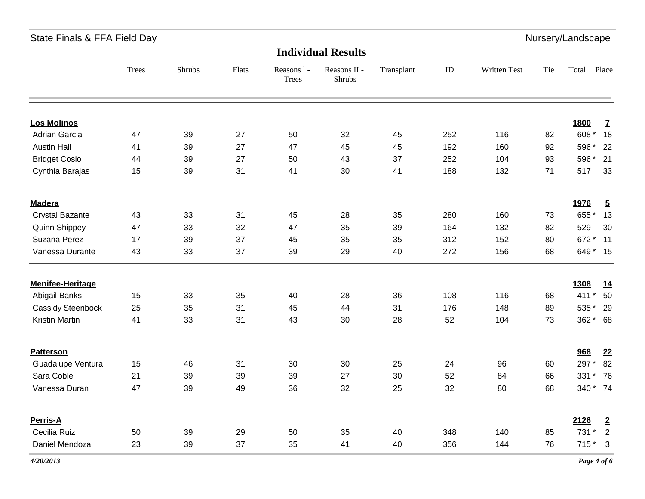**Individual Results**

|                          | <b>Trees</b> | Shrubs | Flats | Reasons 1 -<br><b>Trees</b> | Reasons II -<br>Shrubs | Transplant | ID  | Written Test | Tie | Total    | Place          |
|--------------------------|--------------|--------|-------|-----------------------------|------------------------|------------|-----|--------------|-----|----------|----------------|
| <b>Los Molinos</b>       |              |        |       |                             |                        |            |     |              |     | 1800     | Z              |
| Adrian Garcia            | 47           | 39     | 27    | 50                          | 32                     | 45         | 252 | 116          | 82  | 608*     | 18             |
| <b>Austin Hall</b>       | 41           | 39     | 27    | 47                          | 45                     | 45         | 192 | 160          | 92  | 596 *    | 22             |
| <b>Bridget Cosio</b>     | 44           | 39     | 27    | 50                          | 43                     | 37         | 252 | 104          | 93  | 596 *    | 21             |
| Cynthia Barajas          | 15           | 39     | 31    | 41                          | 30                     | 41         | 188 | 132          | 71  | 517      | 33             |
| <b>Madera</b>            |              |        |       |                             |                        |            |     |              |     | 1976     | $\overline{5}$ |
| <b>Crystal Bazante</b>   | 43           | 33     | 31    | 45                          | 28                     | 35         | 280 | 160          | 73  | 655*     | 13             |
| <b>Quinn Shippey</b>     | 47           | 33     | 32    | 47                          | 35                     | 39         | 164 | 132          | 82  | 529      | 30             |
| Suzana Perez             | 17           | 39     | 37    | 45                          | 35                     | 35         | 312 | 152          | 80  | 672*     | 11             |
| Vanessa Durante          | 43           | 33     | 37    | 39                          | 29                     | 40         | 272 | 156          | 68  | 649 * 15 |                |
| <b>Menifee-Heritage</b>  |              |        |       |                             |                        |            |     |              |     | 1308     | <u>14</u>      |
| Abigail Banks            | 15           | 33     | 35    | 40                          | 28                     | 36         | 108 | 116          | 68  | $411*$   | 50             |
| <b>Cassidy Steenbock</b> | 25           | 35     | 31    | 45                          | 44                     | 31         | 176 | 148          | 89  | 535*     | 29             |
| <b>Kristin Martin</b>    | 41           | 33     | 31    | 43                          | 30                     | 28         | 52  | 104          | 73  | 362 * 68 |                |
| <b>Patterson</b>         |              |        |       |                             |                        |            |     |              |     | 968      | 22             |
| Guadalupe Ventura        | 15           | 46     | 31    | 30                          | 30                     | 25         | 24  | 96           | 60  | 297*     | 82             |
| Sara Coble               | 21           | 39     | 39    | 39                          | 27                     | 30         | 52  | 84           | 66  | 331 * 76 |                |
| Vanessa Duran            | 47           | 39     | 49    | 36                          | 32                     | 25         | 32  | 80           | 68  | 340 * 74 |                |
| Perris-A                 |              |        |       |                             |                        |            |     |              |     | 2126     | $\overline{2}$ |
| Cecilia Ruiz             | 50           | 39     | 29    | 50                          | 35                     | 40         | 348 | 140          | 85  | 731 *    | $\overline{2}$ |
| Daniel Mendoza           | 23           | 39     | 37    | 35                          | 41                     | 40         | 356 | 144          | 76  | $715*3$  |                |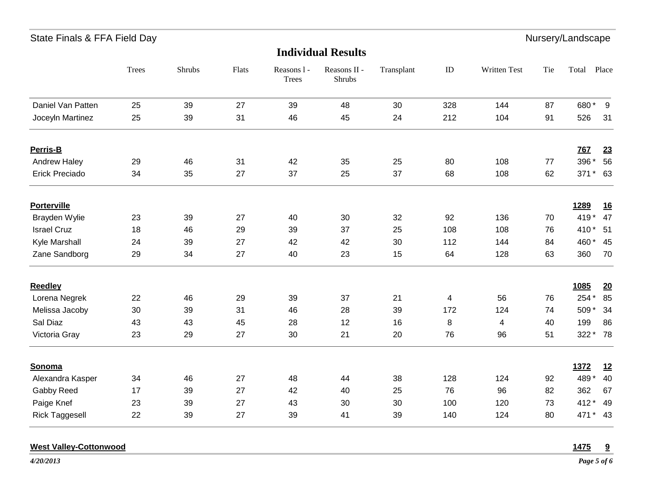| Nursery/Landscape<br>State Finals & FFA Field Day |              |        |       |                             |                           |            |     |              |     |            |           |
|---------------------------------------------------|--------------|--------|-------|-----------------------------|---------------------------|------------|-----|--------------|-----|------------|-----------|
|                                                   |              |        |       |                             | <b>Individual Results</b> |            |     |              |     |            |           |
|                                                   | <b>Trees</b> | Shrubs | Flats | Reasons 1 -<br><b>Trees</b> | Reasons II -<br>Shrubs    | Transplant | ID  | Written Test | Tie | Total      | Place     |
| Daniel Van Patten                                 | 25           | 39     | 27    | 39                          | 48                        | 30         | 328 | 144          | 87  | 680* 9     |           |
| Joceyln Martinez                                  | 25           | 39     | 31    | 46                          | 45                        | 24         | 212 | 104          | 91  | 526        | 31        |
| Perris-B                                          |              |        |       |                             |                           |            |     |              |     | <b>767</b> | 23        |
| Andrew Haley                                      | 29           | 46     | 31    | 42                          | 35                        | 25         | 80  | 108          | 77  | 396 *      | 56        |
| <b>Erick Preciado</b>                             | 34           | 35     | 27    | 37                          | 25                        | 37         | 68  | 108          | 62  | 371* 63    |           |
| <b>Porterville</b>                                |              |        |       |                             |                           |            |     |              |     | 1289       | <u>16</u> |
| Brayden Wylie                                     | 23           | 39     | 27    | 40                          | 30                        | 32         | 92  | 136          | 70  | 419*       | 47        |
| <b>Israel Cruz</b>                                | 18           | 46     | 29    | 39                          | 37                        | 25         | 108 | 108          | 76  | 410 * 51   |           |
| Kyle Marshall                                     | 24           | 39     | 27    | 42                          | 42                        | 30         | 112 | 144          | 84  | 460 * 45   |           |
| Zane Sandborg                                     | 29           | 34     | 27    | 40                          | 23                        | 15         | 64  | 128          | 63  | 360        | 70        |
| <b>Reedley</b>                                    |              |        |       |                             |                           |            |     |              |     | 1085       | <u>20</u> |
| Lorena Negrek                                     | 22           | 46     | 29    | 39                          | 37                        | 21         | 4   | 56           | 76  | 254 *      | 85        |
| Melissa Jacoby                                    | 30           | 39     | 31    | 46                          | 28                        | 39         | 172 | 124          | 74  | 509 *      | 34        |
| Sal Diaz                                          | 43           | 43     | 45    | 28                          | 12                        | 16         | 8   | 4            | 40  | 199        | 86        |
| Victoria Gray                                     | 23           | 29     | 27    | 30                          | 21                        | 20         | 76  | 96           | 51  | 322 * 78   |           |
| Sonoma                                            |              |        |       |                             |                           |            |     |              |     | 1372       | <u>12</u> |
| Alexandra Kasper                                  | 34           | 46     | 27    | 48                          | 44                        | 38         | 128 | 124          | 92  | 489*       | 40        |
| Gabby Reed                                        | 17           | 39     | 27    | 42                          | 40                        | 25         | 76  | 96           | 82  | 362        | 67        |
| Paige Knef                                        | 23           | 39     | 27    | 43                          | 30                        | 30         | 100 | 120          | 73  | 412 * 49   |           |
| <b>Rick Taggesell</b>                             | 22           | 39     | 27    | 39                          | 41                        | 39         | 140 | 124          | 80  | 471 * 43   |           |

### **West Valley-Cottonwood 1475 9**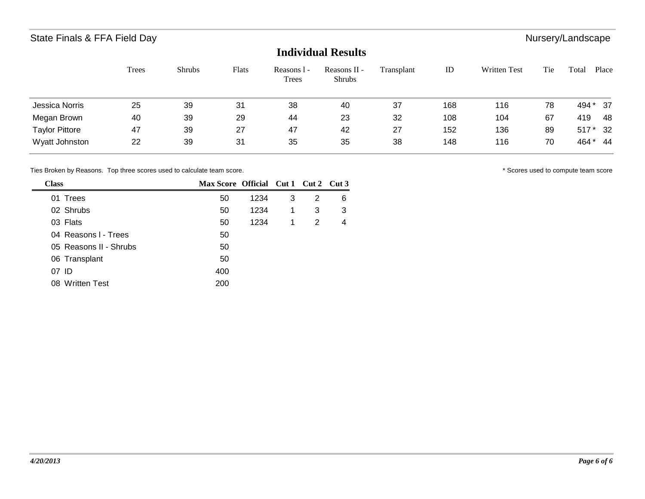## **Individual Results**

|                       | <b>Trees</b> | <b>Shrubs</b> | Flats | Reasons 1 -<br>Trees | Reasons II -<br><b>Shrubs</b> | Transplant | ID  | <b>Written Test</b> | Tie | Total  | Place |
|-----------------------|--------------|---------------|-------|----------------------|-------------------------------|------------|-----|---------------------|-----|--------|-------|
| <b>Jessica Norris</b> | 25           | 39            | 31    | 38                   | 40                            | 37         | 168 | 116                 | 78  | 494 *  | - 37  |
| Megan Brown           | 40           | 39            | 29    | 44                   | 23                            | 32         | 108 | 104                 | 67  | 419    | 48    |
| <b>Taylor Pittore</b> | 47           | 39            | 27    | 47                   | 42                            | 27         | 152 | 136                 | 89  | $517*$ | 32    |
| Wyatt Johnston        | 22           | 39            | 31    | 35                   | 35                            | 38         | 148 | 116                 | 70  | 464*   | 44    |

Ties Broken by Reasons. Top three scores used to calculate team score.  $\blacksquare$ 

| <b>Class</b>           | Max Score Official Cut 1 Cut 2 Cut 3 |      |   |   |   |
|------------------------|--------------------------------------|------|---|---|---|
| 01 Trees               | 50                                   | 1234 | 3 | 2 | 6 |
| 02 Shrubs              | 50                                   | 1234 | 1 | 3 | 3 |
| 03 Flats               | 50                                   | 1234 | 1 | 2 | 4 |
| 04 Reasons I - Trees   | 50                                   |      |   |   |   |
| 05 Reasons II - Shrubs | 50                                   |      |   |   |   |
| 06 Transplant          | 50                                   |      |   |   |   |
| 07 ID                  | 400                                  |      |   |   |   |
| 08 Written Test        | 200                                  |      |   |   |   |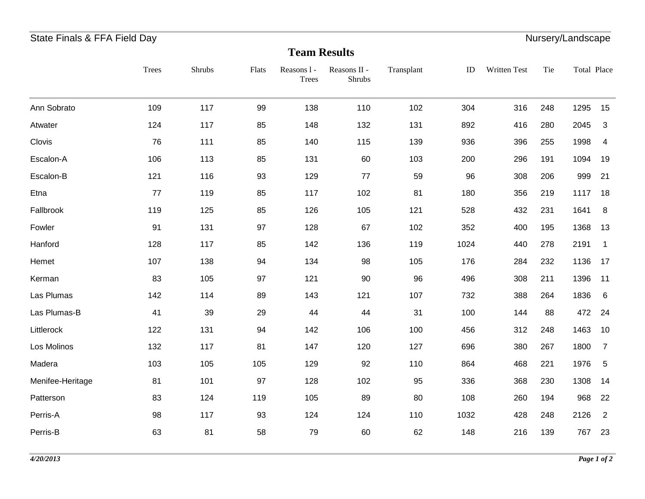# State Finals & FFA Field Day **Nursers** Channel Control of the Nursers of Nursery/Landscape

# **Team Results**

|                  | <b>Trees</b> | Shrubs | Flats | Reasons 1 -<br><b>Trees</b> | Reasons II -<br>Shrubs | Transplant | ID   | Written Test | Tie | Total Place |                         |
|------------------|--------------|--------|-------|-----------------------------|------------------------|------------|------|--------------|-----|-------------|-------------------------|
| Ann Sobrato      | 109          | 117    | 99    | 138                         | 110                    | 102        | 304  | 316          | 248 | 1295        | 15                      |
| Atwater          | 124          | 117    | 85    | 148                         | 132                    | 131        | 892  | 416          | 280 | 2045        | $\mathbf{3}$            |
| Clovis           | 76           | 111    | 85    | 140                         | 115                    | 139        | 936  | 396          | 255 | 1998        | 4                       |
| Escalon-A        | 106          | 113    | 85    | 131                         | 60                     | 103        | 200  | 296          | 191 | 1094        | 19                      |
| Escalon-B        | 121          | 116    | 93    | 129                         | 77                     | 59         | 96   | 308          | 206 | 999         | 21                      |
| Etna             | 77           | 119    | 85    | 117                         | 102                    | 81         | 180  | 356          | 219 | 1117        | 18                      |
| Fallbrook        | 119          | 125    | 85    | 126                         | 105                    | 121        | 528  | 432          | 231 | 1641        | 8                       |
| Fowler           | 91           | 131    | 97    | 128                         | 67                     | 102        | 352  | 400          | 195 | 1368        | 13                      |
| Hanford          | 128          | 117    | 85    | 142                         | 136                    | 119        | 1024 | 440          | 278 | 2191        | $\overline{\mathbf{1}}$ |
| Hemet            | 107          | 138    | 94    | 134                         | 98                     | 105        | 176  | 284          | 232 | 1136        | 17                      |
| Kerman           | 83           | 105    | 97    | 121                         | 90                     | 96         | 496  | 308          | 211 | 1396        | 11                      |
| Las Plumas       | 142          | 114    | 89    | 143                         | 121                    | 107        | 732  | 388          | 264 | 1836        | 6                       |
| Las Plumas-B     | 41           | 39     | 29    | 44                          | 44                     | 31         | 100  | 144          | 88  | 472 24      |                         |
| Littlerock       | 122          | 131    | 94    | 142                         | 106                    | 100        | 456  | 312          | 248 | 1463        | 10                      |
| Los Molinos      | 132          | 117    | 81    | 147                         | 120                    | 127        | 696  | 380          | 267 | 1800        | $\overline{7}$          |
| Madera           | 103          | 105    | 105   | 129                         | 92                     | 110        | 864  | 468          | 221 | 1976        | $5\phantom{.0}$         |
| Menifee-Heritage | 81           | 101    | 97    | 128                         | 102                    | 95         | 336  | 368          | 230 | 1308        | 14                      |
| Patterson        | 83           | 124    | 119   | 105                         | 89                     | 80         | 108  | 260          | 194 | 968         | 22                      |
| Perris-A         | 98           | 117    | 93    | 124                         | 124                    | 110        | 1032 | 428          | 248 | 2126        | $\overline{2}$          |
| Perris-B         | 63           | 81     | 58    | 79                          | 60                     | 62         | 148  | 216          | 139 | 767         | 23                      |
|                  |              |        |       |                             |                        |            |      |              |     |             |                         |